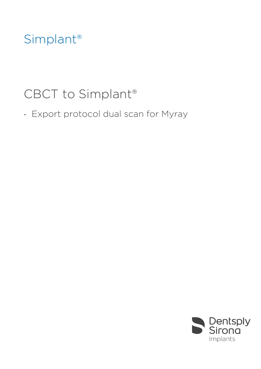## Simplant®

# CBCT to Simplant®

- Export protocol dual scan for Myray

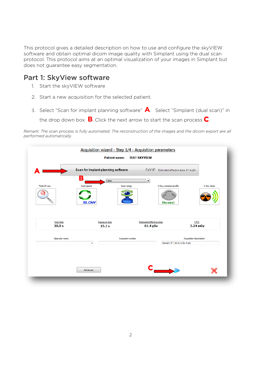This protocol gives a detailed description on how to use and configure the skyVIEW software and obtain optimal dicom image quality with Simplant using the dual scan protocol. This protocol aims at an optimal visualization of your images in Simplant but does not guarantee easy segmentation.

### Part 1: SkyView software

- 1. Start the skyVIEW software
- 2. Start a new acquisition for the selected patient.
- 3. Select "Scan for implant planning software" **A**. Select "Simplant (dual scan)" in the drop down box **B**. Click the next arrow to start the scan process **C**.

*Remark: The scan process is fully automated. The reconstruction of the images and the dicom export are all performed automatically.*

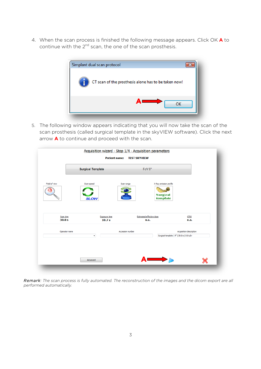4. When the scan process is finished the following message appears. Click OK **A** to continue with the  $2^{nd}$  scan, the one of the scan prosthesis.



5. The following window appears indicating that you will now take the scan of the scan prosthesis (called surgical template in the skyVIEW software). Click the next arrow **A** to continue and proceed with the scan.

|                     | <b>Surgical Template</b>                  | FoV 9"                                  |                                                                      |  |
|---------------------|-------------------------------------------|-----------------------------------------|----------------------------------------------------------------------|--|
| Field of view       | Scan speed<br><b>SLOW</b>                 | Scan range                              | X-Ray emission profile<br><b>Surgical</b><br>template                |  |
| Scan time<br>30.0 s | <b>Exposure time</b><br>10.7 <sub>s</sub> | <b>Estimated effective dose</b><br>n.a. | <b>CTDI</b><br>n.a.                                                  |  |
| Operator name       | $\blacktriangledown$                      | Accession number                        | Acquisition description<br>Surgical template   9"   30.0 s   0.0 uSv |  |
|                     |                                           |                                         |                                                                      |  |

*Remark: The scan process is fully automated. The reconstruction of the images and the dicom export are all performed automatically.*